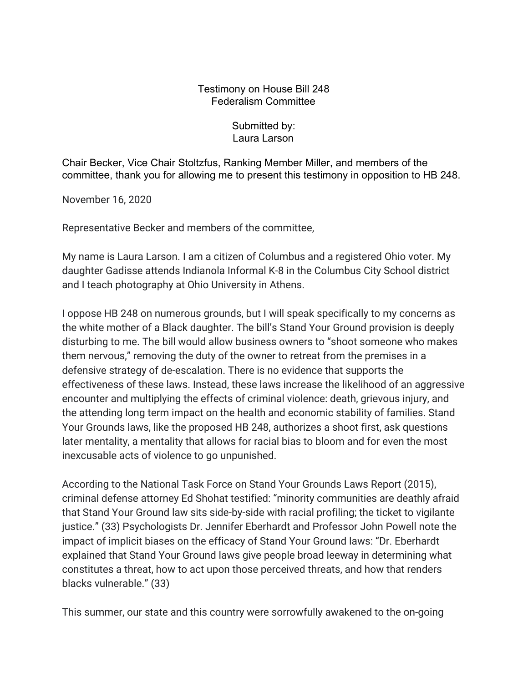## Testimony on House Bill 248 Federalism Committee

## Submitted by: Laura Larson

Chair Becker, Vice Chair Stoltzfus, Ranking Member Miller, and members of the committee, thank you for allowing me to present this testimony in opposition to HB 248.

November 16, 2020

Representative Becker and members of the committee,

My name is Laura Larson. I am a citizen of Columbus and a registered Ohio voter. My daughter Gadisse attends Indianola Informal K-8 in the Columbus City School district and I teach photography at Ohio University in Athens.

I oppose HB 248 on numerous grounds, but I will speak specifically to my concerns as the white mother of a Black daughter. The bill's Stand Your Ground provision is deeply disturbing to me. The bill would allow business owners to "shoot someone who makes them nervous," removing the duty of the owner to retreat from the premises in a defensive strategy of de-escalation. There is no evidence that supports the effectiveness of these laws. Instead, these laws increase the likelihood of an aggressive encounter and multiplying the effects of criminal violence: death, grievous injury, and the attending long term impact on the health and economic stability of families. Stand Your Grounds laws, like the proposed HB 248, authorizes a shoot first, ask questions later mentality, a mentality that allows for racial bias to bloom and for even the most inexcusable acts of violence to go unpunished.

According to the National Task Force on Stand Your Grounds Laws Report (2015), criminal defense attorney Ed Shohat testified: "minority communities are deathly afraid that Stand Your Ground law sits side-by-side with racial profiling; the ticket to vigilante justice." (33) Psychologists Dr. Jennifer Eberhardt and Professor John Powell note the impact of implicit biases on the efficacy of Stand Your Ground laws: "Dr. Eberhardt explained that Stand Your Ground laws give people broad leeway in determining what constitutes a threat, how to act upon those perceived threats, and how that renders blacks vulnerable." (33)

This summer, our state and this country were sorrowfully awakened to the on-going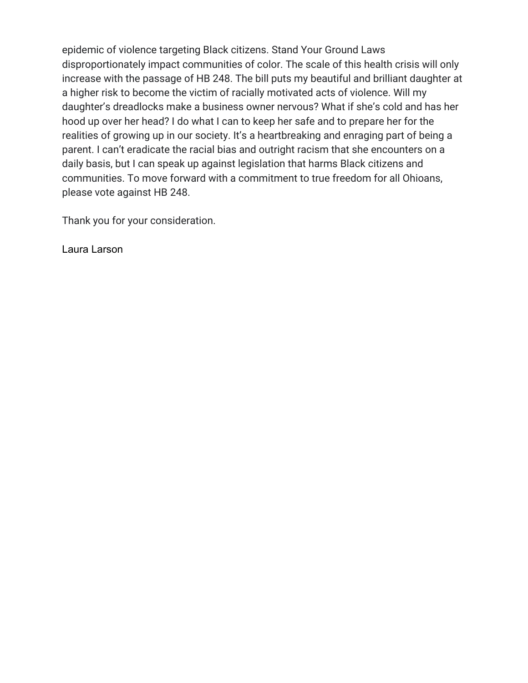epidemic of violence targeting Black citizens. Stand Your Ground Laws disproportionately impact communities of color. The scale of this health crisis will only increase with the passage of HB 248. The bill puts my beautiful and brilliant daughter at a higher risk to become the victim of racially motivated acts of violence. Will my daughter's dreadlocks make a business owner nervous? What if she's cold and has her hood up over her head? I do what I can to keep her safe and to prepare her for the realities of growing up in our society. It's a heartbreaking and enraging part of being a parent. I can't eradicate the racial bias and outright racism that she encounters on a daily basis, but I can speak up against legislation that harms Black citizens and communities. To move forward with a commitment to true freedom for all Ohioans, please vote against HB 248.

Thank you for your consideration.

Laura Larson